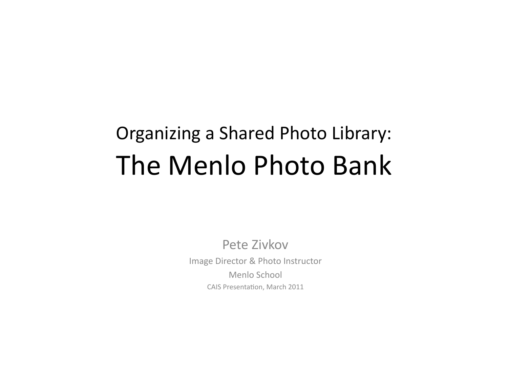# Organizing a Shared Photo Library: The Menlo Photo Bank

Pete Zivkov Image Director & Photo Instructor Menlo School CAIS Presentation, March 2011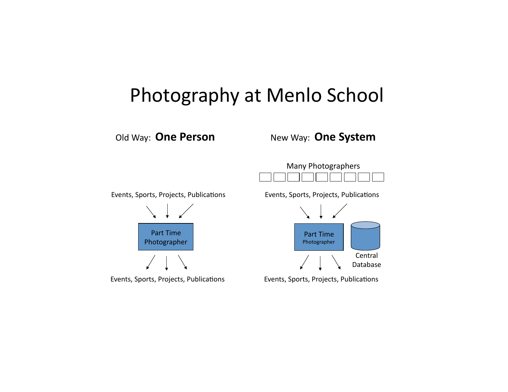### Photography at Menlo School

Old Way: One Person

#### New Way: One System



Events, Sports, Projects, Publications





Events, Sports, Projects, Publications



Events, Sports, Projects, Publications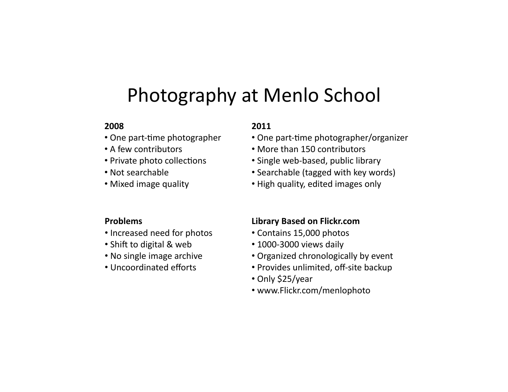### Photography at Menlo School

#### **2008\$**

- $\cdot$  One part-time photographer
- A few contributors
- Private photo collections
- Not searchable
- Mixed image quality

#### **Problems\$**

- Increased need for photos
- Shift to digital  $&$  web
- No single image archive
- Uncoordinated efforts

#### **2011\$**

- One part-time photographer/organizer
- More than 150 contributors
- Single web-based, public library
- Searchable (tagged with key words)
- High quality, edited images only

#### **Library Based on Flickr.com**

- Contains 15,000 photos
- $\cdot$  1000-3000 views daily
- Organized chronologically by event
- Provides unlimited, off-site backup
- Only \$25/year
- www.Flickr.com/menlophoto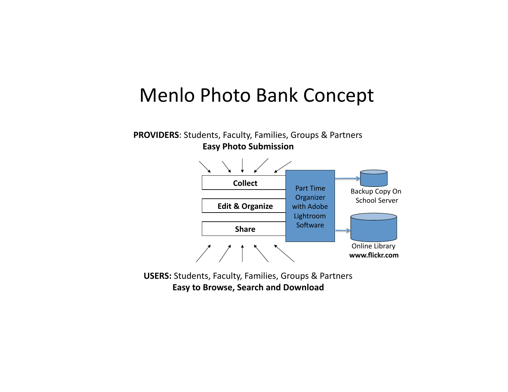### Menlo Photo Bank Concept

#### **PROVIDERS: Students, Faculty, Families, Groups & Partners Easy Photo Submission**



**USERS:** Students, Faculty, Families, Groups & Partners **Easy to Browse, Search and Download**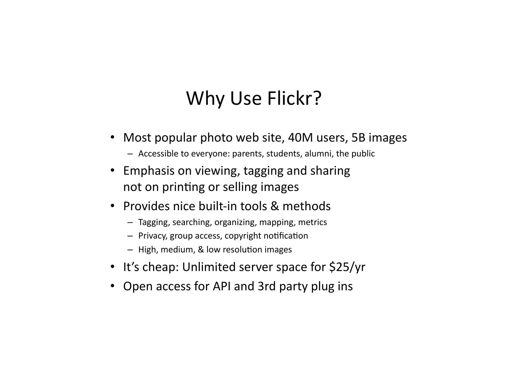# Why Use Flickr?

- Most popular photo web site, 40M users, 5B images
	- $-$  Accessible to everyone: parents, students, alumni, the public
- Emphasis on viewing, tagging and sharing not on printing or selling images
- Provides nice built-in tools & methods
	- $-$  Tagging, searching, organizing, mapping, metrics
	- $-$  Privacy, group access, copyright notification
	- $-$  High, medium, & low resolution images
- It's cheap: Unlimited server space for \$25/yr
- Open access for API and 3rd party plug ins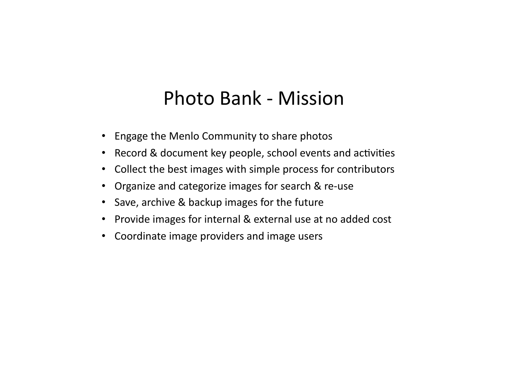### Photo Bank - Mission

- Engage the Menlo Community to share photos
- Record & document key people, school events and activities
- Collect the best images with simple process for contributors
- Organize and categorize images for search & re-use
- Save, archive & backup images for the future
- Provide images for internal & external use at no added cost
- Coordinate image providers and image users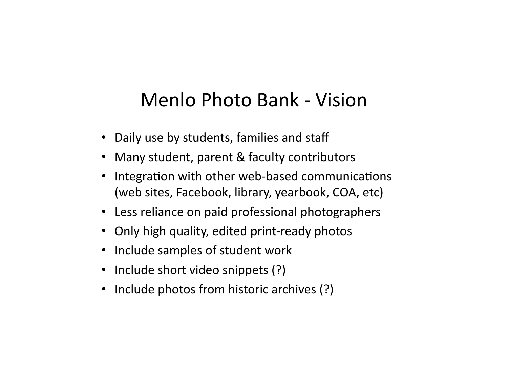# Menlo Photo Bank - Vision

- Daily use by students, families and staff
- Many student, parent & faculty contributors
- Integration with other web-based communications (web sites, Facebook, library, yearbook, COA, etc)
- Less reliance on paid professional photographers
- Only high quality, edited print-ready photos
- Include samples of student work
- Include short video snippets (?)
- Include photos from historic archives (?)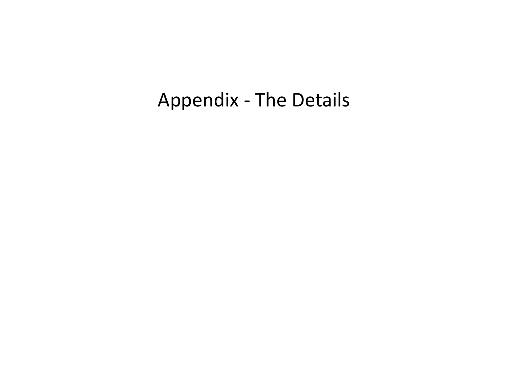# Appendix - The Details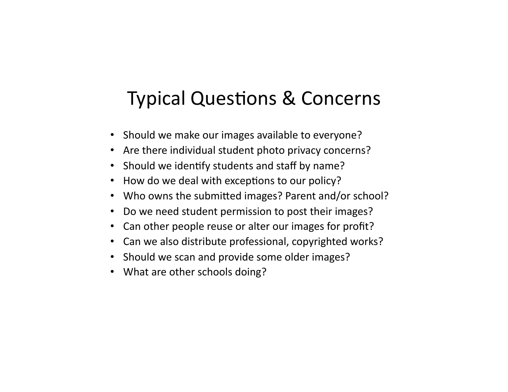# Typical Questions & Concerns

- Should we make our images available to everyone?
- Are there individual student photo privacy concerns?
- Should we identify students and staff by name?
- How do we deal with exceptions to our policy?
- Who owns the submitted images? Parent and/or school?
- Do we need student permission to post their images?
- Can other people reuse or alter our images for profit?
- Can we also distribute professional, copyrighted works?
- Should we scan and provide some older images?
- What are other schools doing?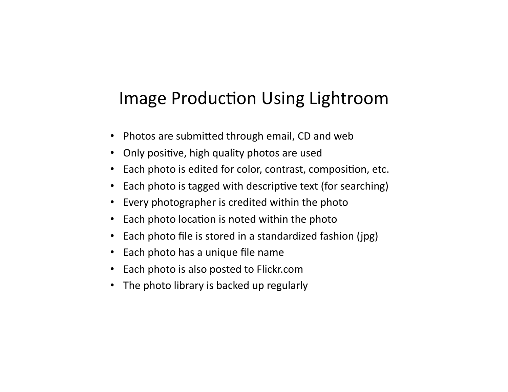#### Image Production Using Lightroom

- Photos are submitted through email, CD and web
- Only positive, high quality photos are used
- Each photo is edited for color, contrast, composition, etc.
- Each photo is tagged with descriptive text (for searching)
- Every photographer is credited within the photo
- Each photo location is noted within the photo
- Each photo file is stored in a standardized fashion ( $ipg$ )
- Each photo has a unique file name
- Each photo is also posted to Flickr.com
- The photo library is backed up regularly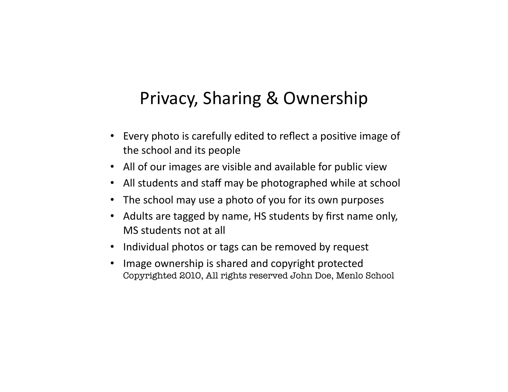#### Privacy, Sharing & Ownership

- Every photo is carefully edited to reflect a positive image of the school and its people
- All of our images are visible and available for public view
- All students and staff may be photographed while at school
- The school may use a photo of you for its own purposes
- Adults are tagged by name, HS students by first name only, MS students not at all
- Individual photos or tags can be removed by request
- Image ownership is shared and copyright protected Copyrighted 2010, All rights reserved John Doe, Menlo School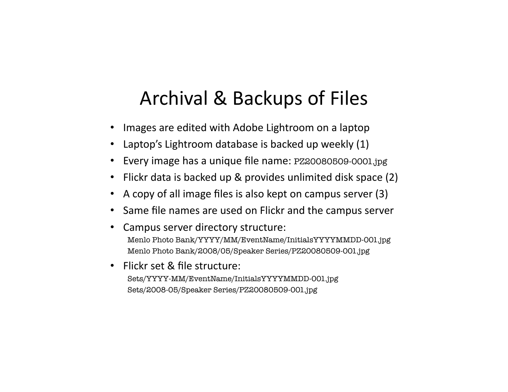# Archival & Backups of Files

- Images are edited with Adobe Lightroom on a laptop
- Laptop's Lightroom database is backed up weekly  $(1)$
- Every image has a unique file name: PZ20080509-0001.jpg
- Flickr data is backed up & provides unlimited disk space  $(2)$
- A copy of all image files is also kept on campus server  $(3)$
- Same file names are used on Flickr and the campus server
- Campus server directory structure: Menlo Photo Bank/YYYY/MM/EventName/InitialsYYYYMMDD-001.jpg Menlo Photo Bank/2008/05/Speaker Series/PZ20080509-001.jpg
- Flickr set & file structure:

Sets/YYYY-MM/EventName/InitialsYYYYMMDD-001.jpg Sets/2008-05/Speaker Series/PZ20080509-001.jpg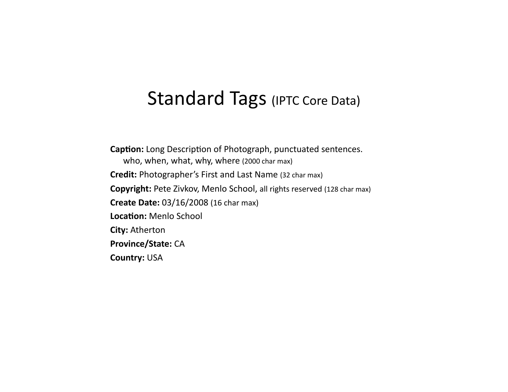#### Standard Tags (IPTC Core Data)

**Caption:** Long Description of Photograph, punctuated sentences. who, when, what, why, where (2000 char max) **Credit:** Photographer's First and Last Name (32 char max) **Copyright:** Pete Zivkov, Menlo School, all rights reserved (128 char max) **Create Date:** 03/16/2008 (16 char max) Location: Menlo School **City: Atherton Province/State: CA Country: USA**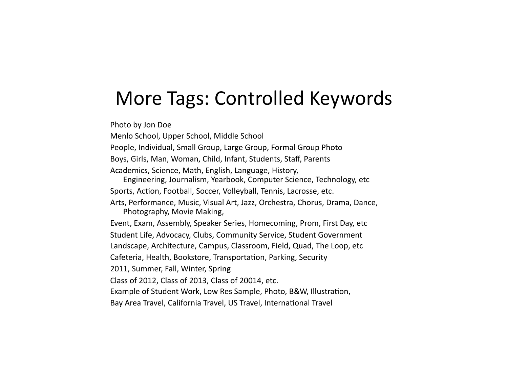### More Tags: Controlled Keywords

Photo by Jon Doe

Menlo School, Upper School, Middle School People, Individual, Small Group, Large Group, Formal Group Photo Boys, Girls, Man, Woman, Child, Infant, Students, Staff, Parents Academics, Science, Math, English, Language, History, Engineering, Journalism, Yearbook, Computer Science, Technology, etc Sports, Action, Football, Soccer, Volleyball, Tennis, Lacrosse, etc. Arts, Performance, Music, Visual Art, Jazz, Orchestra, Chorus, Drama, Dance, Photography, Movie Making, Event, Exam, Assembly, Speaker Series, Homecoming, Prom, First Day, etc Student Life, Advocacy, Clubs, Community Service, Student Government Landscape, Architecture, Campus, Classroom, Field, Quad, The Loop, etc Cafeteria, Health, Bookstore, Transportation, Parking, Security 2011, Summer, Fall, Winter, Spring Class of 2012, Class of 2013, Class of 20014, etc. Example of Student Work, Low Res Sample, Photo, B&W, Illustration, Bay Area Travel, California Travel, US Travel, International Travel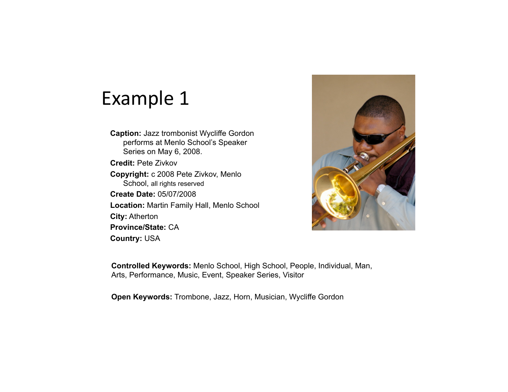### Example 1

- **Caption:** Jazz trombonist Wycliffe Gordon performs at Menlo School's Speaker Series on May 6, 2008.
- **Credit:** Pete Zivkov **Copyright:** c 2008 Pete Zivkov, Menlo School, all rights reserved **Create Date:** 05/07/2008 **Location:** Martin Family Hall, Menlo School **City:** Atherton

**Province/State:** CA **Country:** USA



**Controlled Keywords:** Menlo School, High School, People, Individual, Man, Arts, Performance, Music, Event, Speaker Series, Visitor

**Open Keywords:** Trombone, Jazz, Horn, Musician, Wycliffe Gordon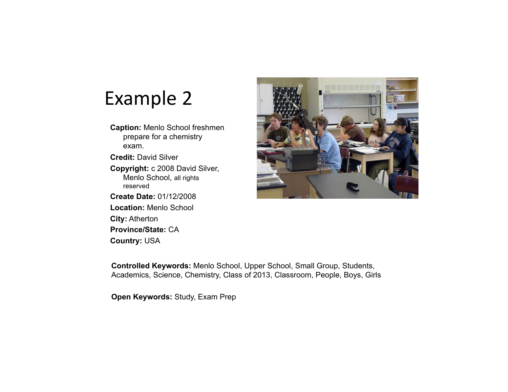## Example 2

- **Caption:** Menlo School freshmen prepare for a chemistry exam.
- **Credit:** David Silver **Copyright:** c 2008 David Silver,
- Menlo School, all rights reserved
- **Create Date:** 01/12/2008 **Location:** Menlo School **City:** Atherton **Province/State:** CA **Country:** USA



**Controlled Keywords:** Menlo School, Upper School, Small Group, Students, Academics, Science, Chemistry, Class of 2013, Classroom, People, Boys, Girls

**Open Keywords:** Study, Exam Prep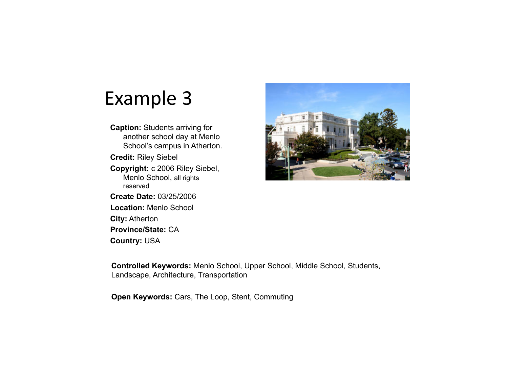# Example 3

**Caption:** Students arriving for another school day at Menlo School's campus in Atherton. **Credit:** Riley Siebel **Copyright:** c 2006 Riley Siebel, Menlo School, all rights reserved

**Create Date:** 03/25/2006 **Location:** Menlo School **City:** Atherton **Province/State:** CA **Country:** USA



**Controlled Keywords:** Menlo School, Upper School, Middle School, Students, Landscape, Architecture, Transportation

**Open Keywords:** Cars, The Loop, Stent, Commuting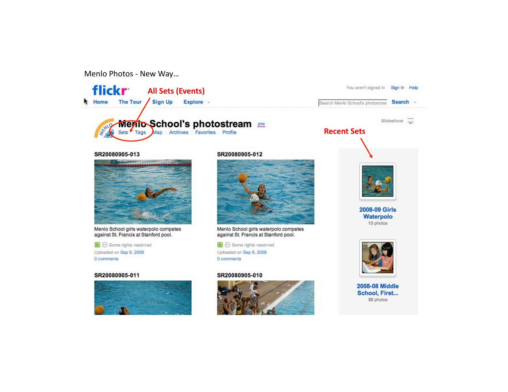Menlo Photos - New Way...